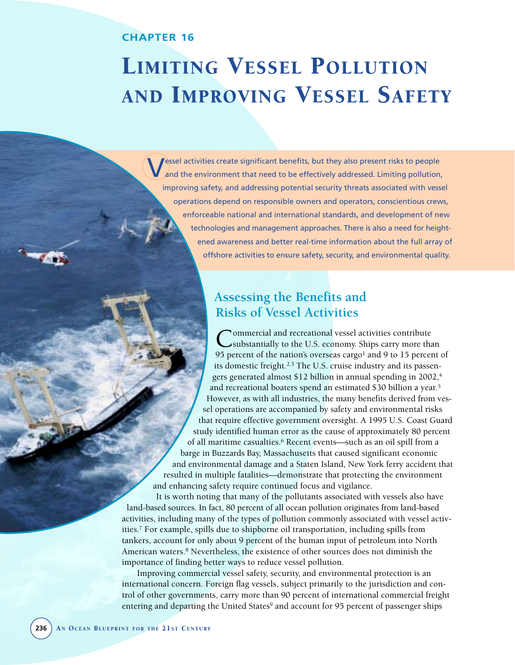# **CHAPTER 16**

 $\sim$ 

# LIMITING VESSEL POLLUTION AND IMPROVING VESSEL SAFETY

Vessel activities create significant benefits, but they also present risks to people and the environment that need to be effectively addressed. Limiting pollution, improving safety, and addressing potential security threats associated with vessel operations depend on responsible owners and operators, conscientious crews, enforceable national and international standards, and development of new technologies and management approaches. There is also a need for heightened awareness and better real-time information about the full array of offshore activities to ensure safety, security, and environmental quality.

# **Assessing the Benefits and Risks of Vessel Activities**

Commercial and recreational vessel activities contribute<br>
substantially to the U.S. economy. Ships carry more than 95 percent of the nation's overseas cargo<sup>1</sup> and 9 to 15 percent of its domestic freight.2,3 The U.S. cruise industry and its passengers generated almost \$12 billion in annual spending in 2002,<sup>4</sup> and recreational boaters spend an estimated \$30 billion a year.5 However, as with all industries, the many benefits derived from vessel operations are accompanied by safety and environmental risks that require effective government oversight. A 1995 U.S. Coast Guard study identified human error as the cause of approximately 80 percent of all maritime casualties.6 Recent events—such as an oil spill from a barge in Buzzards Bay, Massachusetts that caused significant economic and environmental damage and a Staten Island, New York ferry accident that resulted in multiple fatalities—demonstrate that protecting the environment and enhancing safety require continued focus and vigilance.

It is worth noting that many of the pollutants associated with vessels also have land-based sources. In fact, 80 percent of all ocean pollution originates from land-based activities, including many of the types of pollution commonly associated with vessel activities.7 For example, spills due to shipborne oil transportation, including spills from tankers, account for only about 9 percent of the human input of petroleum into North American waters.8 Nevertheless, the existence of other sources does not diminish the importance of finding better ways to reduce vessel pollution.

Improving commercial vessel safety, security, and environmental protection is an international concern. Foreign flag vessels, subject primarily to the jurisdiction and control of other governments, carry more than 90 percent of international commercial freight entering and departing the United States<sup>9</sup> and account for 95 percent of passenger ships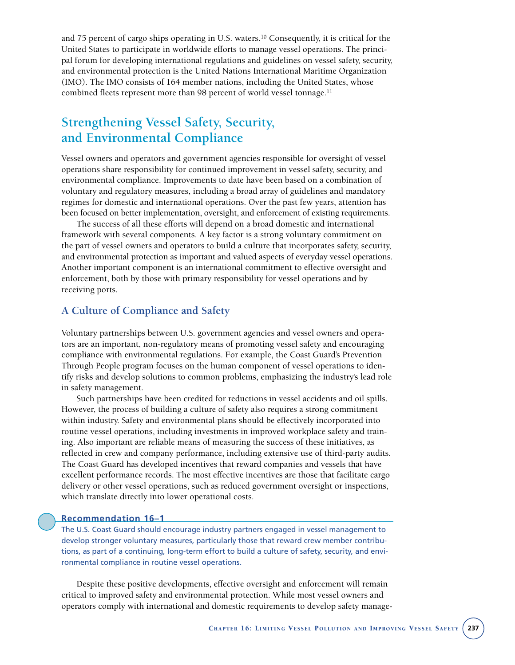and 75 percent of cargo ships operating in U.S. waters.10 Consequently, it is critical for the United States to participate in worldwide efforts to manage vessel operations. The principal forum for developing international regulations and guidelines on vessel safety, security, and environmental protection is the United Nations International Maritime Organization (IMO). The IMO consists of 164 member nations, including the United States, whose combined fleets represent more than 98 percent of world vessel tonnage.<sup>11</sup>

# **Strengthening Vessel Safety, Security, and Environmental Compliance**

Vessel owners and operators and government agencies responsible for oversight of vessel operations share responsibility for continued improvement in vessel safety, security, and environmental compliance. Improvements to date have been based on a combination of voluntary and regulatory measures, including a broad array of guidelines and mandatory regimes for domestic and international operations. Over the past few years, attention has been focused on better implementation, oversight, and enforcement of existing requirements.

The success of all these efforts will depend on a broad domestic and international framework with several components. A key factor is a strong voluntary commitment on the part of vessel owners and operators to build a culture that incorporates safety, security, and environmental protection as important and valued aspects of everyday vessel operations. Another important component is an international commitment to effective oversight and enforcement, both by those with primary responsibility for vessel operations and by receiving ports.

# **A Culture of Compliance and Safety**

Voluntary partnerships between U.S. government agencies and vessel owners and operators are an important, non-regulatory means of promoting vessel safety and encouraging compliance with environmental regulations. For example, the Coast Guard's Prevention Through People program focuses on the human component of vessel operations to identify risks and develop solutions to common problems, emphasizing the industry's lead role in safety management.

Such partnerships have been credited for reductions in vessel accidents and oil spills. However, the process of building a culture of safety also requires a strong commitment within industry. Safety and environmental plans should be effectively incorporated into routine vessel operations, including investments in improved workplace safety and training. Also important are reliable means of measuring the success of these initiatives, as reflected in crew and company performance, including extensive use of third-party audits. The Coast Guard has developed incentives that reward companies and vessels that have excellent performance records. The most effective incentives are those that facilitate cargo delivery or other vessel operations, such as reduced government oversight or inspections, which translate directly into lower operational costs.

# **Recommendation 16–1**

The U.S. Coast Guard should encourage industry partners engaged in vessel management to develop stronger voluntary measures, particularly those that reward crew member contributions, as part of a continuing, long-term effort to build a culture of safety, security, and environmental compliance in routine vessel operations.

Despite these positive developments, effective oversight and enforcement will remain critical to improved safety and environmental protection. While most vessel owners and operators comply with international and domestic requirements to develop safety manage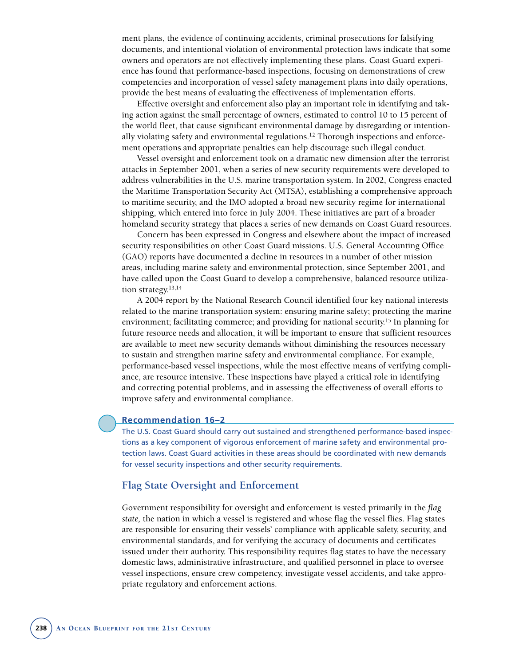ment plans, the evidence of continuing accidents, criminal prosecutions for falsifying documents, and intentional violation of environmental protection laws indicate that some owners and operators are not effectively implementing these plans. Coast Guard experience has found that performance-based inspections, focusing on demonstrations of crew competencies and incorporation of vessel safety management plans into daily operations, provide the best means of evaluating the effectiveness of implementation efforts.

Effective oversight and enforcement also play an important role in identifying and taking action against the small percentage of owners, estimated to control 10 to 15 percent of the world fleet, that cause significant environmental damage by disregarding or intentionally violating safety and environmental regulations.<sup>12</sup> Thorough inspections and enforcement operations and appropriate penalties can help discourage such illegal conduct.

Vessel oversight and enforcement took on a dramatic new dimension after the terrorist attacks in September 2001, when a series of new security requirements were developed to address vulnerabilities in the U.S. marine transportation system. In 2002, Congress enacted the Maritime Transportation Security Act (MTSA), establishing a comprehensive approach to maritime security, and the IMO adopted a broad new security regime for international shipping, which entered into force in July 2004. These initiatives are part of a broader homeland security strategy that places a series of new demands on Coast Guard resources.

Concern has been expressed in Congress and elsewhere about the impact of increased security responsibilities on other Coast Guard missions. U.S. General Accounting Office (GAO) reports have documented a decline in resources in a number of other mission areas, including marine safety and environmental protection, since September 2001, and have called upon the Coast Guard to develop a comprehensive, balanced resource utilization strategy.<sup>13,14</sup>

A 2004 report by the National Research Council identified four key national interests related to the marine transportation system: ensuring marine safety; protecting the marine environment; facilitating commerce; and providing for national security.15 In planning for future resource needs and allocation, it will be important to ensure that sufficient resources are available to meet new security demands without diminishing the resources necessary to sustain and strengthen marine safety and environmental compliance. For example, performance-based vessel inspections, while the most effective means of verifying compliance, are resource intensive. These inspections have played a critical role in identifying and correcting potential problems, and in assessing the effectiveness of overall efforts to improve safety and environmental compliance.

# **Recommendation 16–2**

The U.S. Coast Guard should carry out sustained and strengthened performance-based inspections as a key component of vigorous enforcement of marine safety and environmental protection laws. Coast Guard activities in these areas should be coordinated with new demands for vessel security inspections and other security requirements.

# **Flag State Oversight and Enforcement**

Government responsibility for oversight and enforcement is vested primarily in the *flag state,* the nation in which a vessel is registered and whose flag the vessel flies. Flag states are responsible for ensuring their vessels' compliance with applicable safety, security, and environmental standards, and for verifying the accuracy of documents and certificates issued under their authority. This responsibility requires flag states to have the necessary domestic laws, administrative infrastructure, and qualified personnel in place to oversee vessel inspections, ensure crew competency, investigate vessel accidents, and take appropriate regulatory and enforcement actions.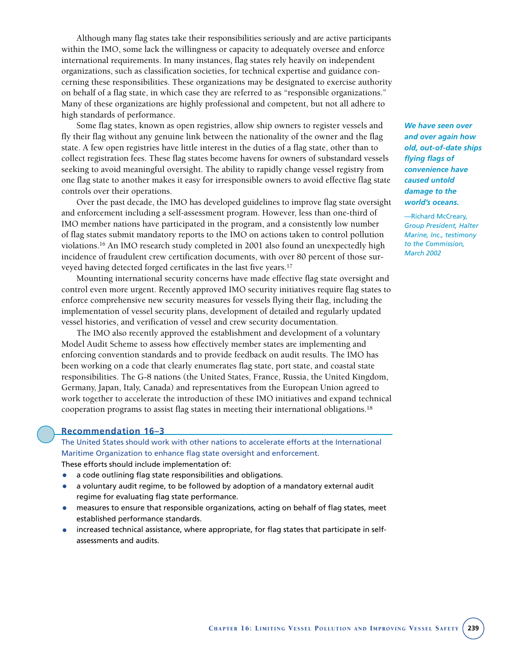Although many flag states take their responsibilities seriously and are active participants within the IMO, some lack the willingness or capacity to adequately oversee and enforce international requirements. In many instances, flag states rely heavily on independent organizations, such as classification societies, for technical expertise and guidance concerning these responsibilities. These organizations may be designated to exercise authority on behalf of a flag state, in which case they are referred to as "responsible organizations." Many of these organizations are highly professional and competent, but not all adhere to high standards of performance.

Some flag states, known as open registries, allow ship owners to register vessels and fly their flag without any genuine link between the nationality of the owner and the flag state. A few open registries have little interest in the duties of a flag state, other than to collect registration fees. These flag states become havens for owners of substandard vessels seeking to avoid meaningful oversight. The ability to rapidly change vessel registry from one flag state to another makes it easy for irresponsible owners to avoid effective flag state controls over their operations.

Over the past decade, the IMO has developed guidelines to improve flag state oversight and enforcement including a self-assessment program. However, less than one-third of IMO member nations have participated in the program, and a consistently low number of flag states submit mandatory reports to the IMO on actions taken to control pollution violations.16 An IMO research study completed in 2001 also found an unexpectedly high incidence of fraudulent crew certification documents, with over 80 percent of those surveyed having detected forged certificates in the last five years.<sup>17</sup>

Mounting international security concerns have made effective flag state oversight and control even more urgent. Recently approved IMO security initiatives require flag states to enforce comprehensive new security measures for vessels flying their flag, including the implementation of vessel security plans, development of detailed and regularly updated vessel histories, and verification of vessel and crew security documentation.

The IMO also recently approved the establishment and development of a voluntary Model Audit Scheme to assess how effectively member states are implementing and enforcing convention standards and to provide feedback on audit results. The IMO has been working on a code that clearly enumerates flag state, port state, and coastal state responsibilities. The G-8 nations (the United States, France, Russia, the United Kingdom, Germany, Japan, Italy, Canada) and representatives from the European Union agreed to work together to accelerate the introduction of these IMO initiatives and expand technical cooperation programs to assist flag states in meeting their international obligations.18

# **Recommendation 16–3**

The United States should work with other nations to accelerate efforts at the International Maritime Organization to enhance flag state oversight and enforcement. These efforts should include implementation of:

- a code outlining flag state responsibilities and obligations.
- a voluntary audit regime, to be followed by adoption of a mandatory external audit regime for evaluating flag state performance.
- measures to ensure that responsible organizations, acting on behalf of flag states, meet established performance standards.
- increased technical assistance, where appropriate, for flag states that participate in selfassessments and audits.

*We have seen over and over again how old, out-of-date ships flying flags of convenience have caused untold damage to the world's oceans.*

—Richard McCreary, *Group President, Halter Marine, Inc., testimony to the Commission, March 2002*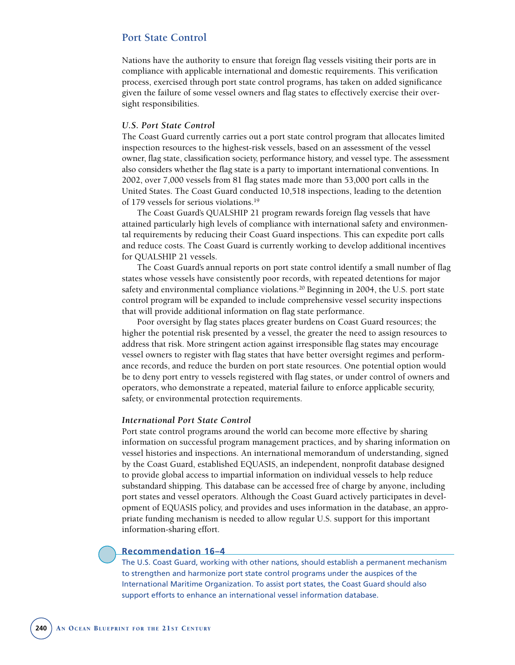# **Port State Control**

Nations have the authority to ensure that foreign flag vessels visiting their ports are in compliance with applicable international and domestic requirements. This verification process, exercised through port state control programs, has taken on added significance given the failure of some vessel owners and flag states to effectively exercise their oversight responsibilities.

#### *U.S. Port State Control*

The Coast Guard currently carries out a port state control program that allocates limited inspection resources to the highest-risk vessels, based on an assessment of the vessel owner, flag state, classification society, performance history, and vessel type. The assessment also considers whether the flag state is a party to important international conventions. In 2002, over 7,000 vessels from 81 flag states made more than 53,000 port calls in the United States. The Coast Guard conducted 10,518 inspections, leading to the detention of 179 vessels for serious violations.19

The Coast Guard's QUALSHIP 21 program rewards foreign flag vessels that have attained particularly high levels of compliance with international safety and environmental requirements by reducing their Coast Guard inspections. This can expedite port calls and reduce costs. The Coast Guard is currently working to develop additional incentives for QUALSHIP 21 vessels.

The Coast Guard's annual reports on port state control identify a small number of flag states whose vessels have consistently poor records, with repeated detentions for major safety and environmental compliance violations.<sup>20</sup> Beginning in 2004, the U.S. port state control program will be expanded to include comprehensive vessel security inspections that will provide additional information on flag state performance.

Poor oversight by flag states places greater burdens on Coast Guard resources; the higher the potential risk presented by a vessel, the greater the need to assign resources to address that risk. More stringent action against irresponsible flag states may encourage vessel owners to register with flag states that have better oversight regimes and performance records, and reduce the burden on port state resources. One potential option would be to deny port entry to vessels registered with flag states, or under control of owners and operators, who demonstrate a repeated, material failure to enforce applicable security, safety, or environmental protection requirements.

#### *International Port State Control*

Port state control programs around the world can become more effective by sharing information on successful program management practices, and by sharing information on vessel histories and inspections. An international memorandum of understanding, signed by the Coast Guard, established EQUASIS, an independent, nonprofit database designed to provide global access to impartial information on individual vessels to help reduce substandard shipping. This database can be accessed free of charge by anyone, including port states and vessel operators. Although the Coast Guard actively participates in development of EQUASIS policy, and provides and uses information in the database, an appropriate funding mechanism is needed to allow regular U.S. support for this important information-sharing effort.

# **Recommendation 16–4**

The U.S. Coast Guard, working with other nations, should establish a permanent mechanism to strengthen and harmonize port state control programs under the auspices of the International Maritime Organization. To assist port states, the Coast Guard should also support efforts to enhance an international vessel information database.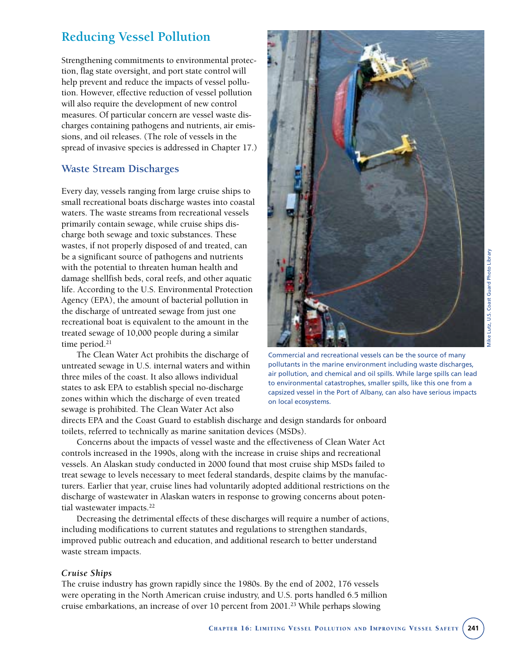# **Reducing Vessel Pollution**

Strengthening commitments to environmental protection, flag state oversight, and port state control will help prevent and reduce the impacts of vessel pollution. However, effective reduction of vessel pollution will also require the development of new control measures. Of particular concern are vessel waste discharges containing pathogens and nutrients, air emissions, and oil releases. (The role of vessels in the spread of invasive species is addressed in Chapter 17.)

# **Waste Stream Discharges**

Every day, vessels ranging from large cruise ships to small recreational boats discharge wastes into coastal waters. The waste streams from recreational vessels primarily contain sewage, while cruise ships discharge both sewage and toxic substances. These wastes, if not properly disposed of and treated, can be a significant source of pathogens and nutrients with the potential to threaten human health and damage shellfish beds, coral reefs, and other aquatic life. According to the U.S. Environmental Protection Agency (EPA), the amount of bacterial pollution in the discharge of untreated sewage from just one recreational boat is equivalent to the amount in the treated sewage of 10,000 people during a similar time period.<sup>21</sup>

The Clean Water Act prohibits the discharge of untreated sewage in U.S. internal waters and within three miles of the coast. It also allows individual states to ask EPA to establish special no-discharge zones within which the discharge of even treated sewage is prohibited. The Clean Water Act also



Commercial and recreational vessels can be the source of many pollutants in the marine environment including waste discharges, air pollution, and chemical and oil spills. While large spills can lead to environmental catastrophes, smaller spills, like this one from a capsized vessel in the Port of Albany, can also have serious impacts on local ecosystems.

directs EPA and the Coast Guard to establish discharge and design standards for onboard toilets, referred to technically as marine sanitation devices (MSDs).

Concerns about the impacts of vessel waste and the effectiveness of Clean Water Act controls increased in the 1990s, along with the increase in cruise ships and recreational vessels. An Alaskan study conducted in 2000 found that most cruise ship MSDs failed to treat sewage to levels necessary to meet federal standards, despite claims by the manufacturers. Earlier that year, cruise lines had voluntarily adopted additional restrictions on the discharge of wastewater in Alaskan waters in response to growing concerns about potential wastewater impacts.<sup>22</sup>

Decreasing the detrimental effects of these discharges will require a number of actions, including modifications to current statutes and regulations to strengthen standards, improved public outreach and education, and additional research to better understand waste stream impacts.

# *Cruise Ships*

The cruise industry has grown rapidly since the 1980s. By the end of 2002, 176 vessels were operating in the North American cruise industry, and U.S. ports handled 6.5 million cruise embarkations, an increase of over 10 percent from 2001.23 While perhaps slowing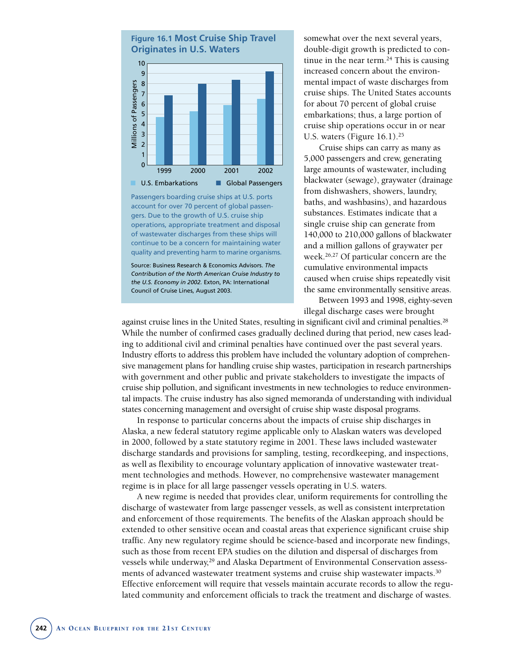

Passengers boarding cruise ships at U.S. ports account for over 70 percent of global passengers. Due to the growth of U.S. cruise ship operations, appropriate treatment and disposal of wastewater discharges from these ships will continue to be a concern for maintaining water quality and preventing harm to marine organisms.

Source: Business Research & Economics Advisors. *The Contribution of the North American Cruise Industry to the U.S. Economy in 2002.* Exton, PA: International Council of Cruise Lines, August 2003.

somewhat over the next several years, double-digit growth is predicted to continue in the near term. $24$  This is causing increased concern about the environmental impact of waste discharges from cruise ships. The United States accounts for about 70 percent of global cruise embarkations; thus, a large portion of cruise ship operations occur in or near U.S. waters (Figure  $16.1$ ).<sup>25</sup>

Cruise ships can carry as many as 5,000 passengers and crew, generating large amounts of wastewater, including blackwater (sewage), graywater (drainage from dishwashers, showers, laundry, baths, and washbasins), and hazardous substances. Estimates indicate that a single cruise ship can generate from 140,000 to 210,000 gallons of blackwater and a million gallons of graywater per week.26,27 Of particular concern are the cumulative environmental impacts caused when cruise ships repeatedly visit the same environmentally sensitive areas.

Between 1993 and 1998, eighty-seven illegal discharge cases were brought

against cruise lines in the United States, resulting in significant civil and criminal penalties.<sup>28</sup> While the number of confirmed cases gradually declined during that period, new cases leading to additional civil and criminal penalties have continued over the past several years. Industry efforts to address this problem have included the voluntary adoption of comprehensive management plans for handling cruise ship wastes, participation in research partnerships with government and other public and private stakeholders to investigate the impacts of cruise ship pollution, and significant investments in new technologies to reduce environmental impacts. The cruise industry has also signed memoranda of understanding with individual states concerning management and oversight of cruise ship waste disposal programs.

In response to particular concerns about the impacts of cruise ship discharges in Alaska, a new federal statutory regime applicable only to Alaskan waters was developed in 2000, followed by a state statutory regime in 2001. These laws included wastewater discharge standards and provisions for sampling, testing, recordkeeping, and inspections, as well as flexibility to encourage voluntary application of innovative wastewater treatment technologies and methods. However, no comprehensive wastewater management regime is in place for all large passenger vessels operating in U.S. waters.

A new regime is needed that provides clear, uniform requirements for controlling the discharge of wastewater from large passenger vessels, as well as consistent interpretation and enforcement of those requirements. The benefits of the Alaskan approach should be extended to other sensitive ocean and coastal areas that experience significant cruise ship traffic. Any new regulatory regime should be science-based and incorporate new findings, such as those from recent EPA studies on the dilution and dispersal of discharges from vessels while underway.<sup>29</sup> and Alaska Department of Environmental Conservation assessments of advanced wastewater treatment systems and cruise ship wastewater impacts.30 Effective enforcement will require that vessels maintain accurate records to allow the regulated community and enforcement officials to track the treatment and discharge of wastes.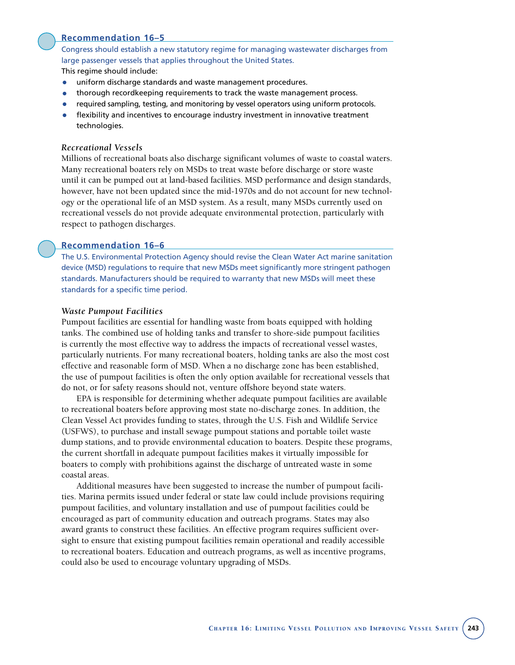

# **Recommendation 16–5**

Congress should establish a new statutory regime for managing wastewater discharges from large passenger vessels that applies throughout the United States.

This regime should include:

- uniform discharge standards and waste management procedures.
- thorough recordkeeping requirements to track the waste management process.
- required sampling, testing, and monitoring by vessel operators using uniform protocols.
- flexibility and incentives to encourage industry investment in innovative treatment technologies.

# *Recreational Vessels*

Millions of recreational boats also discharge significant volumes of waste to coastal waters. Many recreational boaters rely on MSDs to treat waste before discharge or store waste until it can be pumped out at land-based facilities. MSD performance and design standards, however, have not been updated since the mid-1970s and do not account for new technology or the operational life of an MSD system. As a result, many MSDs currently used on recreational vessels do not provide adequate environmental protection, particularly with respect to pathogen discharges.

# **Recommendation 16–6**

The U.S. Environmental Protection Agency should revise the Clean Water Act marine sanitation device (MSD) regulations to require that new MSDs meet significantly more stringent pathogen standards. Manufacturers should be required to warranty that new MSDs will meet these standards for a specific time period.

#### *Waste Pumpout Facilities*

Pumpout facilities are essential for handling waste from boats equipped with holding tanks. The combined use of holding tanks and transfer to shore-side pumpout facilities is currently the most effective way to address the impacts of recreational vessel wastes, particularly nutrients. For many recreational boaters, holding tanks are also the most cost effective and reasonable form of MSD. When a no discharge zone has been established, the use of pumpout facilities is often the only option available for recreational vessels that do not, or for safety reasons should not, venture offshore beyond state waters.

EPA is responsible for determining whether adequate pumpout facilities are available to recreational boaters before approving most state no-discharge zones. In addition, the Clean Vessel Act provides funding to states, through the U.S. Fish and Wildlife Service (USFWS), to purchase and install sewage pumpout stations and portable toilet waste dump stations, and to provide environmental education to boaters. Despite these programs, the current shortfall in adequate pumpout facilities makes it virtually impossible for boaters to comply with prohibitions against the discharge of untreated waste in some coastal areas.

Additional measures have been suggested to increase the number of pumpout facilities. Marina permits issued under federal or state law could include provisions requiring pumpout facilities, and voluntary installation and use of pumpout facilities could be encouraged as part of community education and outreach programs. States may also award grants to construct these facilities. An effective program requires sufficient oversight to ensure that existing pumpout facilities remain operational and readily accessible to recreational boaters. Education and outreach programs, as well as incentive programs, could also be used to encourage voluntary upgrading of MSDs.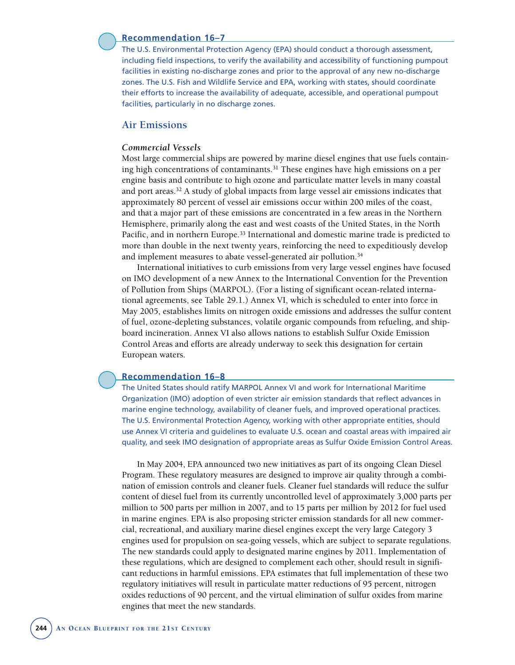# **Recommendation 16–7**

The U.S. Environmental Protection Agency (EPA) should conduct a thorough assessment, including field inspections, to verify the availability and accessibility of functioning pumpout facilities in existing no-discharge zones and prior to the approval of any new no-discharge zones. The U.S. Fish and Wildlife Service and EPA, working with states, should coordinate their efforts to increase the availability of adequate, accessible, and operational pumpout facilities, particularly in no discharge zones.

# **Air Emissions**

# *Commercial Vessels*

Most large commercial ships are powered by marine diesel engines that use fuels containing high concentrations of contaminants.31 These engines have high emissions on a per engine basis and contribute to high ozone and particulate matter levels in many coastal and port areas.32 A study of global impacts from large vessel air emissions indicates that approximately 80 percent of vessel air emissions occur within 200 miles of the coast, and that a major part of these emissions are concentrated in a few areas in the Northern Hemisphere, primarily along the east and west coasts of the United States, in the North Pacific, and in northern Europe.33 International and domestic marine trade is predicted to more than double in the next twenty years, reinforcing the need to expeditiously develop and implement measures to abate vessel-generated air pollution.<sup>34</sup>

International initiatives to curb emissions from very large vessel engines have focused on IMO development of a new Annex to the International Convention for the Prevention of Pollution from Ships (MARPOL). (For a listing of significant ocean-related international agreements, see Table 29.1.) Annex VI, which is scheduled to enter into force in May 2005, establishes limits on nitrogen oxide emissions and addresses the sulfur content of fuel, ozone-depleting substances, volatile organic compounds from refueling, and shipboard incineration. Annex VI also allows nations to establish Sulfur Oxide Emission Control Areas and efforts are already underway to seek this designation for certain European waters.

# **Recommendation 16–8**

The United States should ratify MARPOL Annex VI and work for International Maritime Organization (IMO) adoption of even stricter air emission standards that reflect advances in marine engine technology, availability of cleaner fuels, and improved operational practices. The U.S. Environmental Protection Agency, working with other appropriate entities, should use Annex VI criteria and guidelines to evaluate U.S. ocean and coastal areas with impaired air quality, and seek IMO designation of appropriate areas as Sulfur Oxide Emission Control Areas.

In May 2004, EPA announced two new initiatives as part of its ongoing Clean Diesel Program. These regulatory measures are designed to improve air quality through a combination of emission controls and cleaner fuels. Cleaner fuel standards will reduce the sulfur content of diesel fuel from its currently uncontrolled level of approximately 3,000 parts per million to 500 parts per million in 2007, and to 15 parts per million by 2012 for fuel used in marine engines. EPA is also proposing stricter emission standards for all new commercial, recreational, and auxiliary marine diesel engines except the very large Category 3 engines used for propulsion on sea-going vessels, which are subject to separate regulations. The new standards could apply to designated marine engines by 2011. Implementation of these regulations, which are designed to complement each other, should result in significant reductions in harmful emissions. EPA estimates that full implementation of these two regulatory initiatives will result in particulate matter reductions of 95 percent, nitrogen oxides reductions of 90 percent, and the virtual elimination of sulfur oxides from marine engines that meet the new standards.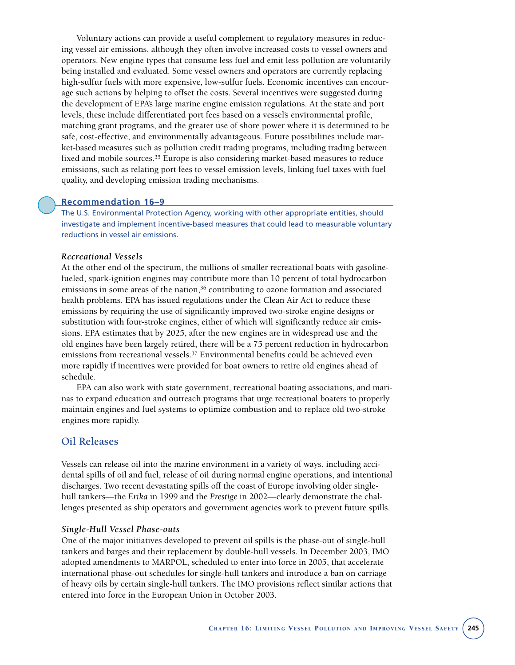Voluntary actions can provide a useful complement to regulatory measures in reducing vessel air emissions, although they often involve increased costs to vessel owners and operators. New engine types that consume less fuel and emit less pollution are voluntarily being installed and evaluated. Some vessel owners and operators are currently replacing high-sulfur fuels with more expensive, low-sulfur fuels. Economic incentives can encourage such actions by helping to offset the costs. Several incentives were suggested during the development of EPA's large marine engine emission regulations. At the state and port levels, these include differentiated port fees based on a vessel's environmental profile, matching grant programs, and the greater use of shore power where it is determined to be safe, cost-effective, and environmentally advantageous. Future possibilities include market-based measures such as pollution credit trading programs, including trading between fixed and mobile sources.<sup>35</sup> Europe is also considering market-based measures to reduce emissions, such as relating port fees to vessel emission levels, linking fuel taxes with fuel quality, and developing emission trading mechanisms.

# **Recommendation 16–9**

The U.S. Environmental Protection Agency, working with other appropriate entities, should investigate and implement incentive-based measures that could lead to measurable voluntary reductions in vessel air emissions.

# *Recreational Vessels*

At the other end of the spectrum, the millions of smaller recreational boats with gasolinefueled, spark-ignition engines may contribute more than 10 percent of total hydrocarbon emissions in some areas of the nation, $36$  contributing to ozone formation and associated health problems. EPA has issued regulations under the Clean Air Act to reduce these emissions by requiring the use of significantly improved two-stroke engine designs or substitution with four-stroke engines, either of which will significantly reduce air emissions. EPA estimates that by 2025, after the new engines are in widespread use and the old engines have been largely retired, there will be a 75 percent reduction in hydrocarbon emissions from recreational vessels.37 Environmental benefits could be achieved even more rapidly if incentives were provided for boat owners to retire old engines ahead of schedule.

EPA can also work with state government, recreational boating associations, and marinas to expand education and outreach programs that urge recreational boaters to properly maintain engines and fuel systems to optimize combustion and to replace old two-stroke engines more rapidly.

# **Oil Releases**

Vessels can release oil into the marine environment in a variety of ways, including accidental spills of oil and fuel, release of oil during normal engine operations, and intentional discharges. Two recent devastating spills off the coast of Europe involving older singlehull tankers—the *Erika* in 1999 and the *Prestige* in 2002—clearly demonstrate the challenges presented as ship operators and government agencies work to prevent future spills.

#### *Single-Hull Vessel Phase-outs*

One of the major initiatives developed to prevent oil spills is the phase-out of single-hull tankers and barges and their replacement by double-hull vessels. In December 2003, IMO adopted amendments to MARPOL, scheduled to enter into force in 2005, that accelerate international phase-out schedules for single-hull tankers and introduce a ban on carriage of heavy oils by certain single-hull tankers. The IMO provisions reflect similar actions that entered into force in the European Union in October 2003.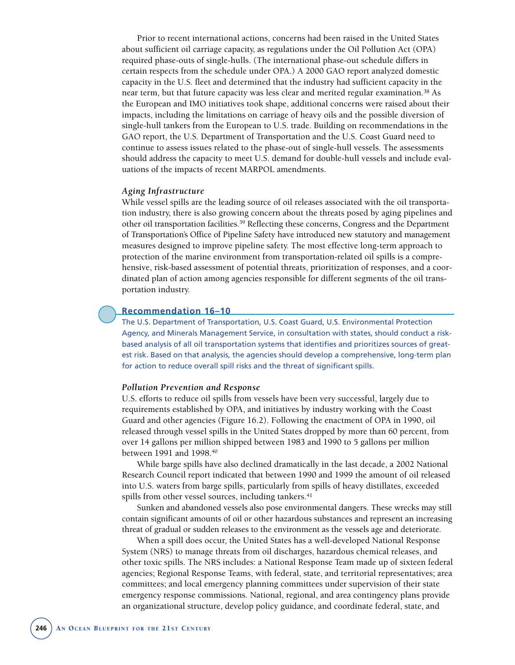Prior to recent international actions, concerns had been raised in the United States about sufficient oil carriage capacity, as regulations under the Oil Pollution Act (OPA) required phase-outs of single-hulls. (The international phase-out schedule differs in certain respects from the schedule under OPA.) A 2000 GAO report analyzed domestic capacity in the U.S. fleet and determined that the industry had sufficient capacity in the near term, but that future capacity was less clear and merited regular examination.38 As the European and IMO initiatives took shape, additional concerns were raised about their impacts, including the limitations on carriage of heavy oils and the possible diversion of single-hull tankers from the European to U.S. trade. Building on recommendations in the GAO report, the U.S. Department of Transportation and the U.S. Coast Guard need to continue to assess issues related to the phase-out of single-hull vessels. The assessments should address the capacity to meet U.S. demand for double-hull vessels and include evaluations of the impacts of recent MARPOL amendments.

#### *Aging Infrastructure*

While vessel spills are the leading source of oil releases associated with the oil transportation industry, there is also growing concern about the threats posed by aging pipelines and other oil transportation facilities.39 Reflecting these concerns, Congress and the Department of Transportation's Office of Pipeline Safety have introduced new statutory and management measures designed to improve pipeline safety. The most effective long-term approach to protection of the marine environment from transportation-related oil spills is a comprehensive, risk-based assessment of potential threats, prioritization of responses, and a coordinated plan of action among agencies responsible for different segments of the oil transportation industry.

# **Recommendation 16–10**

The U.S. Department of Transportation, U.S. Coast Guard, U.S. Environmental Protection Agency, and Minerals Management Service, in consultation with states, should conduct a riskbased analysis of all oil transportation systems that identifies and prioritizes sources of greatest risk. Based on that analysis, the agencies should develop a comprehensive, long-term plan for action to reduce overall spill risks and the threat of significant spills.

#### *Pollution Prevention and Response*

U.S. efforts to reduce oil spills from vessels have been very successful, largely due to requirements established by OPA, and initiatives by industry working with the Coast Guard and other agencies (Figure 16.2). Following the enactment of OPA in 1990, oil released through vessel spills in the United States dropped by more than 60 percent, from over 14 gallons per million shipped between 1983 and 1990 to 5 gallons per million between 1991 and 1998.40

While barge spills have also declined dramatically in the last decade, a 2002 National Research Council report indicated that between 1990 and 1999 the amount of oil released into U.S. waters from barge spills, particularly from spills of heavy distillates, exceeded spills from other vessel sources, including tankers.<sup>41</sup>

Sunken and abandoned vessels also pose environmental dangers. These wrecks may still contain significant amounts of oil or other hazardous substances and represent an increasing threat of gradual or sudden releases to the environment as the vessels age and deteriorate.

When a spill does occur, the United States has a well-developed National Response System (NRS) to manage threats from oil discharges, hazardous chemical releases, and other toxic spills. The NRS includes: a National Response Team made up of sixteen federal agencies; Regional Response Teams, with federal, state, and territorial representatives; area committees; and local emergency planning committees under supervision of their state emergency response commissions. National, regional, and area contingency plans provide an organizational structure, develop policy guidance, and coordinate federal, state, and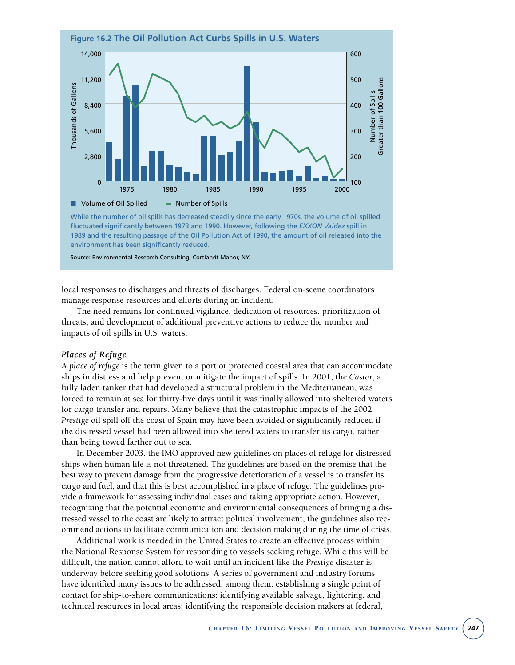

fluctuated significantly between 1973 and 1990. However, following the *EXXON Valdez* spill in 1989 and the resulting passage of the Oil Pollution Act of 1990, the amount of oil released into the environment has been significantly reduced.

Source: Environmental Research Consulting, Cortlandt Manor, NY.

local responses to discharges and threats of discharges. Federal on-scene coordinators manage response resources and efforts during an incident.

The need remains for continued vigilance, dedication of resources, prioritization of threats, and development of additional preventive actions to reduce the number and impacts of oil spills in U.S. waters.

# *Places of Refuge*

A *place of refuge* is the term given to a port or protected coastal area that can accommodate ships in distress and help prevent or mitigate the impact of spills. In 2001, the *Castor*, a fully laden tanker that had developed a structural problem in the Mediterranean, was forced to remain at sea for thirty-five days until it was finally allowed into sheltered waters for cargo transfer and repairs. Many believe that the catastrophic impacts of the 2002 *Prestige* oil spill off the coast of Spain may have been avoided or significantly reduced if the distressed vessel had been allowed into sheltered waters to transfer its cargo, rather than being towed farther out to sea.

In December 2003, the IMO approved new guidelines on places of refuge for distressed ships when human life is not threatened. The guidelines are based on the premise that the best way to prevent damage from the progressive deterioration of a vessel is to transfer its cargo and fuel, and that this is best accomplished in a place of refuge. The guidelines provide a framework for assessing individual cases and taking appropriate action. However, recognizing that the potential economic and environmental consequences of bringing a distressed vessel to the coast are likely to attract political involvement, the guidelines also recommend actions to facilitate communication and decision making during the time of crisis.

Additional work is needed in the United States to create an effective process within the National Response System for responding to vessels seeking refuge. While this will be difficult, the nation cannot afford to wait until an incident like the *Prestige* disaster is underway before seeking good solutions. A series of government and industry forums have identified many issues to be addressed, among them: establishing a single point of contact for ship-to-shore communications; identifying available salvage, lightering, and technical resources in local areas; identifying the responsible decision makers at federal,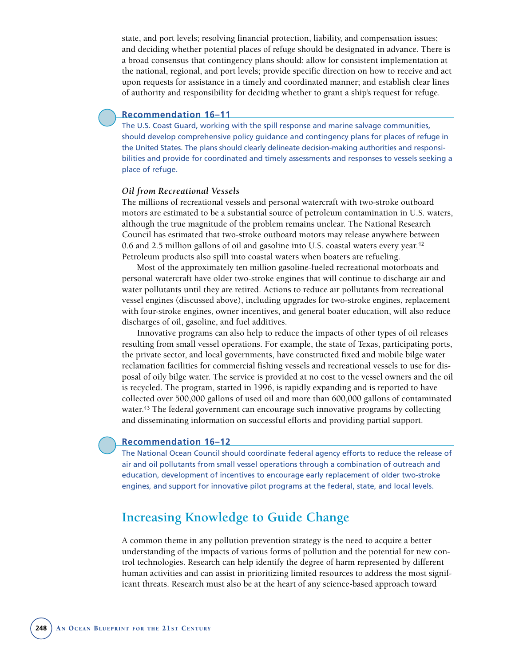state, and port levels; resolving financial protection, liability, and compensation issues; and deciding whether potential places of refuge should be designated in advance. There is a broad consensus that contingency plans should: allow for consistent implementation at the national, regional, and port levels; provide specific direction on how to receive and act upon requests for assistance in a timely and coordinated manner; and establish clear lines of authority and responsibility for deciding whether to grant a ship's request for refuge.

# **Recommendation 16–11**

The U.S. Coast Guard, working with the spill response and marine salvage communities, should develop comprehensive policy guidance and contingency plans for places of refuge in the United States. The plans should clearly delineate decision-making authorities and responsibilities and provide for coordinated and timely assessments and responses to vessels seeking a place of refuge.

#### *Oil from Recreational Vessels*

The millions of recreational vessels and personal watercraft with two-stroke outboard motors are estimated to be a substantial source of petroleum contamination in U.S. waters, although the true magnitude of the problem remains unclear. The National Research Council has estimated that two-stroke outboard motors may release anywhere between 0.6 and 2.5 million gallons of oil and gasoline into U.S. coastal waters every year.<sup>42</sup> Petroleum products also spill into coastal waters when boaters are refueling.

Most of the approximately ten million gasoline-fueled recreational motorboats and personal watercraft have older two-stroke engines that will continue to discharge air and water pollutants until they are retired. Actions to reduce air pollutants from recreational vessel engines (discussed above), including upgrades for two-stroke engines, replacement with four-stroke engines, owner incentives, and general boater education, will also reduce discharges of oil, gasoline, and fuel additives.

Innovative programs can also help to reduce the impacts of other types of oil releases resulting from small vessel operations. For example, the state of Texas, participating ports, the private sector, and local governments, have constructed fixed and mobile bilge water reclamation facilities for commercial fishing vessels and recreational vessels to use for disposal of oily bilge water. The service is provided at no cost to the vessel owners and the oil is recycled. The program, started in 1996, is rapidly expanding and is reported to have collected over 500,000 gallons of used oil and more than 600,000 gallons of contaminated water.<sup>43</sup> The federal government can encourage such innovative programs by collecting and disseminating information on successful efforts and providing partial support.

# **Recommendation 16–12**

The National Ocean Council should coordinate federal agency efforts to reduce the release of air and oil pollutants from small vessel operations through a combination of outreach and education, development of incentives to encourage early replacement of older two-stroke engines, and support for innovative pilot programs at the federal, state, and local levels.

# **Increasing Knowledge to Guide Change**

A common theme in any pollution prevention strategy is the need to acquire a better understanding of the impacts of various forms of pollution and the potential for new control technologies. Research can help identify the degree of harm represented by different human activities and can assist in prioritizing limited resources to address the most significant threats. Research must also be at the heart of any science-based approach toward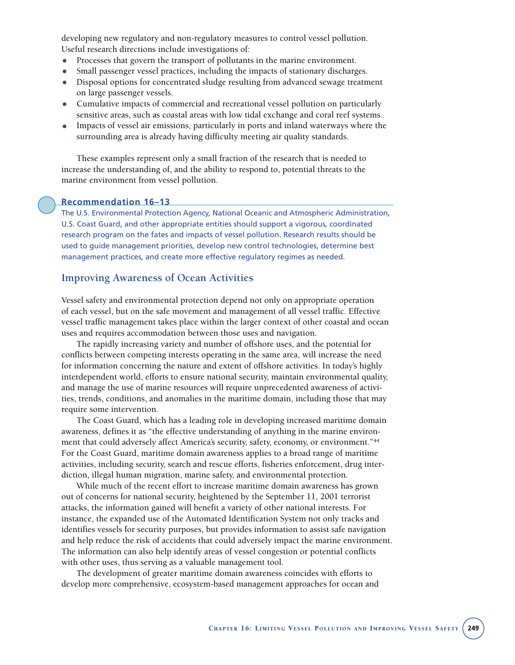developing new regulatory and non-regulatory measures to control vessel pollution. Useful research directions include investigations of:

- Processes that govern the transport of pollutants in the marine environment.
- Small passenger vessel practices, including the impacts of stationary discharges.
- Disposal options for concentrated sludge resulting from advanced sewage treatment on large passenger vessels.
- Cumulative impacts of commercial and recreational vessel pollution on particularly sensitive areas, such as coastal areas with low tidal exchange and coral reef systems.
- Impacts of vessel air emissions, particularly in ports and inland waterways where the surrounding area is already having difficulty meeting air quality standards.

These examples represent only a small fraction of the research that is needed to increase the understanding of, and the ability to respond to, potential threats to the marine environment from vessel pollution.

**Recommendation 16–13**

The U.S. Environmental Protection Agency, National Oceanic and Atmospheric Administration, U.S. Coast Guard, and other appropriate entities should support a vigorous, coordinated research program on the fates and impacts of vessel pollution. Research results should be used to guide management priorities, develop new control technologies, determine best management practices, and create more effective regulatory regimes as needed.

# **Improving Awareness of Ocean Activities**

Vessel safety and environmental protection depend not only on appropriate operation of each vessel, but on the safe movement and management of all vessel traffic. Effective vessel traffic management takes place within the larger context of other coastal and ocean uses and requires accommodation between those uses and navigation.

The rapidly increasing variety and number of offshore uses, and the potential for conflicts between competing interests operating in the same area, will increase the need for information concerning the nature and extent of offshore activities. In today's highly interdependent world, efforts to ensure national security, maintain environmental quality, and manage the use of marine resources will require unprecedented awareness of activities, trends, conditions, and anomalies in the maritime domain, including those that may require some intervention.

The Coast Guard, which has a leading role in developing increased maritime domain awareness, defines it as "the effective understanding of anything in the marine environment that could adversely affect America's security, safety, economy, or environment."<sup>44</sup> For the Coast Guard, maritime domain awareness applies to a broad range of maritime activities, including security, search and rescue efforts, fisheries enforcement, drug interdiction, illegal human migration, marine safety, and environmental protection.

While much of the recent effort to increase maritime domain awareness has grown out of concerns for national security, heightened by the September 11, 2001 terrorist attacks, the information gained will benefit a variety of other national interests. For instance, the expanded use of the Automated Identification System not only tracks and identifies vessels for security purposes, but provides information to assist safe navigation and help reduce the risk of accidents that could adversely impact the marine environment. The information can also help identify areas of vessel congestion or potential conflicts with other uses, thus serving as a valuable management tool.

The development of greater maritime domain awareness coincides with efforts to develop more comprehensive, ecosystem-based management approaches for ocean and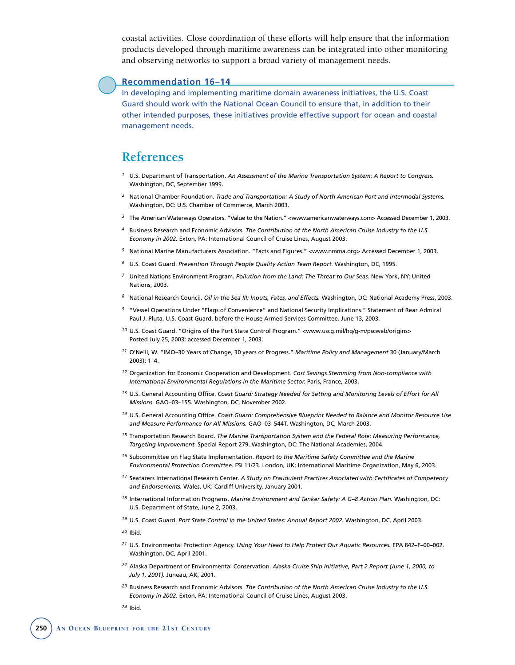coastal activities. Close coordination of these efforts will help ensure that the information products developed through maritime awareness can be integrated into other monitoring and observing networks to support a broad variety of management needs.

# **Recommendation 16–14**

In developing and implementing maritime domain awareness initiatives, the U.S. Coast Guard should work with the National Ocean Council to ensure that, in addition to their other intended purposes, these initiatives provide effective support for ocean and coastal management needs.

# **References**

- *<sup>1</sup>* U.S. Department of Transportation. *An Assessment of the Marine Transportation System: A Report to Congress.* Washington, DC, September 1999.
- *<sup>2</sup>* National Chamber Foundation. *Trade and Transportation: A Study of North American Port and Intermodal Systems.* Washington, DC: U.S. Chamber of Commerce, March 2003.
- *<sup>3</sup>* The American Waterways Operators. "Value to the Nation." <www.americanwaterways.com> Accessed December 1, 2003.
- *<sup>4</sup>* Business Research and Economic Advisors. *The Contribution of the North American Cruise Industry to the U.S. Economy in 2002.* Exton, PA: International Council of Cruise Lines, August 2003.
- *<sup>5</sup>* National Marine Manufacturers Association. "Facts and Figures." <www.nmma.org> Accessed December 1, 2003.
- *<sup>6</sup>* U.S. Coast Guard. *Prevention Through People Quality Action Team Report.* Washington, DC, 1995.
- *<sup>7</sup>* United Nations Environment Program. *Pollution from the Land: The Threat to Our Seas.* New York, NY: United Nations, 2003.
- *<sup>8</sup>* National Research Council. *Oil in the Sea III: Inputs, Fates, and Effects.* Washington, DC: National Academy Press, 2003.
- *<sup>9</sup>* "Vessel Operations Under "Flags of Convenience" and National Security Implications." Statement of Rear Admiral Paul J. Pluta, U.S. Coast Guard, before the House Armed Services Committee. June 13, 2003.
- <sup>10</sup> U.S. Coast Guard. "Origins of the Port State Control Program." <www.uscg.mil/hq/g-m/pscweb/origins> Posted July 25, 2003; accessed December 1, 2003.
- *<sup>11</sup>* O'Neill, W. "IMO–30 Years of Change, 30 years of Progress." *Maritime Policy and Management* 30 (January/March 2003): 1–4.
- *<sup>12</sup>* Organization for Economic Cooperation and Development. *Cost Savings Stemming from Non-compliance with International Environmental Regulations in the Maritime Sector.* Paris, France, 2003.
- *<sup>13</sup>* U.S. General Accounting Office. *Coast Guard: Strategy Needed for Setting and Monitoring Levels of Effort for All Missions.* GAO–03–155. Washington, DC, November 2002.
- *<sup>14</sup>* U.S. General Accounting Office. *Coast Guard: Comprehensive Blueprint Needed to Balance and Monitor Resource Use and Measure Performance for All Missions.* GAO–03–544T. Washington, DC, March 2003.
- *<sup>15</sup>* Transportation Research Board. *The Marine Transportation System and the Federal Role: Measuring Performance, Targeting Improvement.* Special Report 279. Washington, DC: The National Academies, 2004.
- *<sup>16</sup>* Subcommittee on Flag State Implementation. *Report to the Maritime Safety Committee and the Marine Environmental Protection Committee.* FSI 11/23. London, UK: International Maritime Organization, May 6, 2003.
- *<sup>17</sup>* Seafarers International Research Center. *A Study on Fraudulent Practices Associated with Certificates of Competency and Endorsements.* Wales, UK: Cardiff University, January 2001.
- *<sup>18</sup>* International Information Programs. *Marine Environment and Tanker Safety: A G–8 Action Plan.* Washington, DC: U.S. Department of State, June 2, 2003.
- *<sup>19</sup>* U.S. Coast Guard. *Port State Control in the United States: Annual Report 2002.* Washington, DC, April 2003.
- *<sup>20</sup>* Ibid.
- *<sup>21</sup>* U.S. Environmental Protection Agency. *Using Your Head to Help Protect Our Aquatic Resources.* EPA 842–F–00–002. Washington, DC, April 2001.
- *<sup>22</sup>* Alaska Department of Environmental Conservation. *Alaska Cruise Ship Initiative, Part 2 Report (June 1, 2000, to July 1, 2001).* Juneau, AK, 2001.
- *<sup>23</sup>* Business Research and Economic Advisors. *The Contribution of the North American Cruise Industry to the U.S. Economy in 2002.* Exton, PA: International Council of Cruise Lines, August 2003.
- *<sup>24</sup>* Ibid.